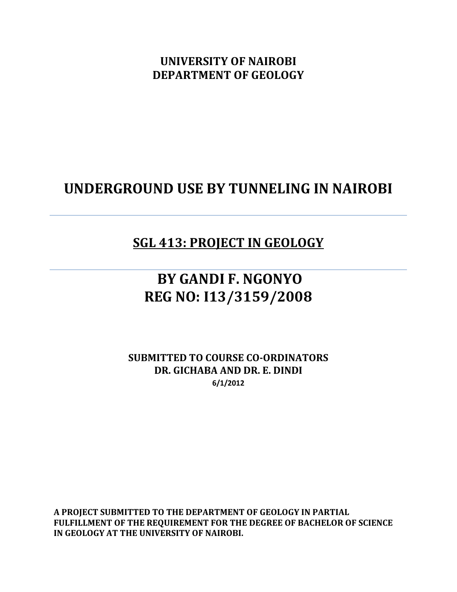**UNIVERSITY OF NAIROBI DEPARTMENT OF GEOLOGY**

## **UNDERGROUND USE BY TUNNELING IN NAIROBI**

## **SGL 413: PROJECT IN GEOLOGY**

## **BY GANDI F. NGONYO REG NO: I13/3159/2008**

**SUBMITTED TO COURSE CO-ORDINATORS DR. GICHABA AND DR. E. DINDI 6/1/2012** 

**A PROJECT SUBMITTED TO THE DEPARTMENT OF GEOLOGY IN PARTIAL FULFILLMENT OF THE REQUIREMENT FOR THE DEGREE OF BACHELOR OF SCIENCE IN GEOLOGY AT THE UNIVERSITY OF NAIROBI.**